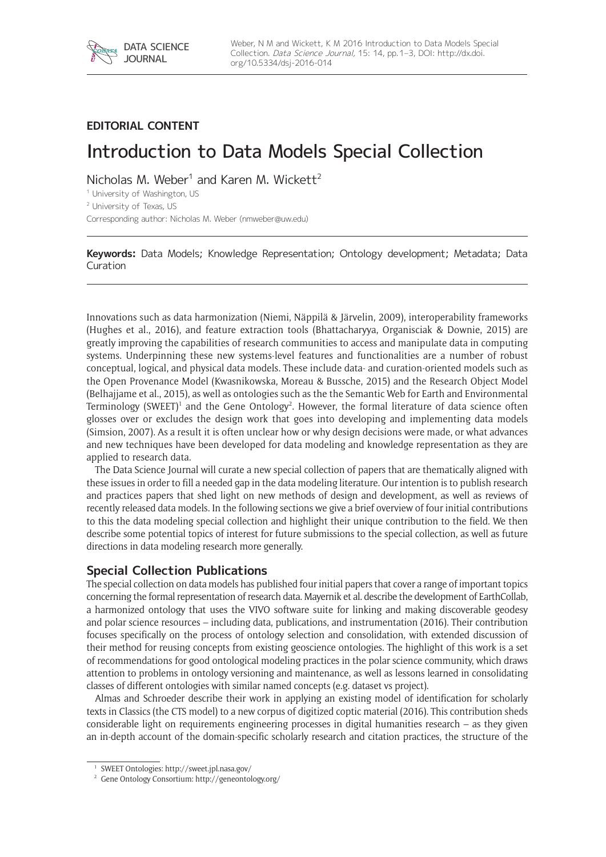## **EDITORIAL CONTENT**

# Introduction to Data Models Special Collection

Nicholas M. Weber<sup>1</sup> and Karen M. Wickett<sup>2</sup>

<sup>1</sup> University of Washington, US

<sup>2</sup> University of Texas, [US](mailto:wickett@ischool.utexas.edu)

Corresponding author: Nicholas M. Weber [\(nmweber@uw.edu](mailto:nmweber@uw.edu))

**Keywords:** Data Models; Knowledge Representation; Ontology development; Metadata; Data Curation

Innovations such as data harmonization (Niemi, Näppilä & Järvelin, 2009), interoperability frameworks (Hughes et al., 2016), and feature extraction tools (Bhattacharyya, Organisciak & Downie, 2015) are greatly improving the capabilities of research communities to access and manipulate data in computing systems. Underpinning these new systems-level features and functionalities are a number of robust conceptual, logical, and physical data models. These include data- and curation-oriented models such as the Open Provenance Model (Kwasnikowska, Moreau & Bussche, 2015) and the Research Object Model (Belhajjame et al., 2015), as well as ontologies such as the the Semantic Web for Earth and Environmental Terminology (SWEET)<sup>1</sup> and the Gene Ontology<sup>2</sup>. However, the formal literature of data science often glosses over or excludes the design work that goes into developing and implementing data models (Simsion, 2007). As a result it is often unclear how or why design decisions were made, or what advances and new techniques have been developed for data modeling and knowledge representation as they are applied to research data.

The Data Science Journal will curate a new special collection of papers that are thematically aligned with these issues in order to fill a needed gap in the data modeling literature. Our intention is to publish research and practices papers that shed light on new methods of design and development, as well as reviews of recently released data models. In the following sections we give a brief overview of four initial contributions to this the data modeling special collection and highlight their unique contribution to the field. We then describe some potential topics of interest for future submissions to the special collection, as well as future directions in data modeling research more generally.

## **Special Collection Publications**

The special collection on data models has published four initial papers that cover a range of important topics concerning the formal representation of research data. Mayernik et al. describe the development of EarthCollab, a harmonized ontology that uses the VIVO software suite for linking and making discoverable geodesy and polar science resources – including data, publications, and instrumentation (2016). Their contribution focuses specifically on the process of ontology selection and consolidation, with extended discussion of their method for reusing concepts from existing geoscience ontologies. The highlight of this work is a set of recommendations for good ontological modeling practices in the polar science community, which draws attention to problems in ontology versioning and maintenance, as well as lessons learned in consolidating classes of different ontologies with similar named concepts (e.g. dataset vs project).

Almas and Schroeder describe their work in applying an existing model of identification for scholarly texts in Classics (the CTS model) to a new corpus of digitized coptic material (2016). This contribution sheds considerable light on requirements engineering processes in digital humanities research – as they given an in-depth account of the domain-specific scholarly research and citation practices, the structure of the

<sup>1</sup> SWEET Ontologies:<http://sweet.jpl.nasa.gov/>

<sup>2</sup> Gene Ontology Consortium:<http://geneontology.org/>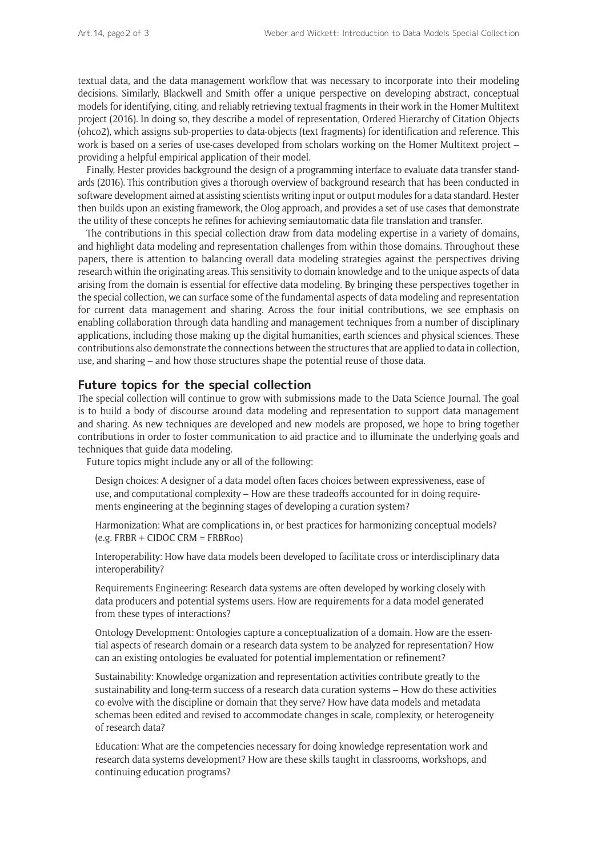textual data, and the data management workflow that was necessary to incorporate into their modeling decisions. Similarly, Blackwell and Smith offer a unique perspective on developing abstract, conceptual models for identifying, citing, and reliably retrieving textual fragments in their work in the Homer Multitext project (2016). In doing so, they describe a model of representation, Ordered Hierarchy of Citation Objects (ohco2), which assigns sub-properties to data-objects (text fragments) for identification and reference. This work is based on a series of use-cases developed from scholars working on the Homer Multitext project – providing a helpful empirical application of their model.

Finally, Hester provides background the design of a programming interface to evaluate data transfer standards (2016). This contribution gives a thorough overview of background research that has been conducted in software development aimed at assisting scientists writing input or output modules for a data standard. Hester then builds upon an existing framework, the Olog approach, and provides a set of use cases that demonstrate the utility of these concepts he refines for achieving semiautomatic data file translation and transfer.

The contributions in this special collection draw from data modeling expertise in a variety of domains, and highlight data modeling and representation challenges from within those domains. Throughout these papers, there is attention to balancing overall data modeling strategies against the perspectives driving research within the originating areas. This sensitivity to domain knowledge and to the unique aspects of data arising from the domain is essential for effective data modeling. By bringing these perspectives together in the special collection, we can surface some of the fundamental aspects of data modeling and representation for current data management and sharing. Across the four initial contributions, we see emphasis on enabling collaboration through data handling and management techniques from a number of disciplinary applications, including those making up the digital humanities, earth sciences and physical sciences. These contributions also demonstrate the connections between the structures that are applied to data in collection, use, and sharing – and how those structures shape the potential reuse of those data.

#### **Future topics for the special collection**

The special collection will continue to grow with submissions made to the Data Science Journal. The goal is to build a body of discourse around data modeling and representation to support data management and sharing. As new techniques are developed and new models are proposed, we hope to bring together contributions in order to foster communication to aid practice and to illuminate the underlying goals and techniques that guide data modeling.

Future topics might include any or all of the following:

Design choices: A designer of a data model often faces choices between expressiveness, ease of use, and computational complexity – How are these tradeoffs accounted for in doing requirements engineering at the beginning stages of developing a curation system?

Harmonization: What are complications in, or best practices for harmonizing conceptual models? (e.g. FRBR + CIDOC CRM = FRBRoo)

Interoperability: How have data models been developed to facilitate cross or interdisciplinary data interoperability?

Requirements Engineering: Research data systems are often developed by working closely with data producers and potential systems users. How are requirements for a data model generated from these types of interactions?

Ontology Development: Ontologies capture a conceptualization of a domain. How are the essential aspects of research domain or a research data system to be analyzed for representation? How can an existing ontologies be evaluated for potential implementation or refinement?

Sustainability: Knowledge organization and representation activities contribute greatly to the sustainability and long-term success of a research data curation systems – How do these activities co-evolve with the discipline or domain that they serve? How have data models and metadata schemas been edited and revised to accommodate changes in scale, complexity, or heterogeneity of research data?

Education: What are the competencies necessary for doing knowledge representation work and research data systems development? How are these skills taught in classrooms, workshops, and continuing education programs?